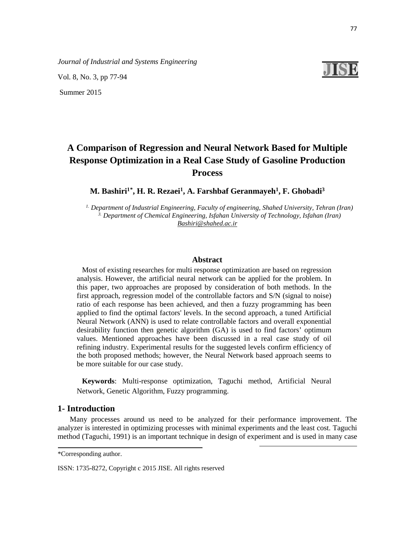Vol. 8, No. 3, pp 77-94

Summer 2015



# **A Comparison of Regression and Neural Network Based for Multiple Response Optimization in a Real Case Study of Gasoline Production Process**

**M. Bashiri<sup>1[\\*](#page-0-0)</sup>, H. R. Rezaei<sup>1</sup>, A. Farshbaf Geranmayeh<sup>1</sup>, F. Ghobadi<sup>3</sup>** 

*1. Department of Industrial Engineering, Faculty of engineering, Shahed University, Tehran (Iran) 3. Department of Chemical Engineering, Isfahan University of Technology, Isfahan (Iran) [Bashiri@shahed.ac.ir](mailto:Bashiri@shahed.ac.ir)*

### **Abstract**

Most of existing researches for multi response optimization are based on regression analysis. However, the artificial neural network can be applied for the problem. In this paper, two approaches are proposed by consideration of both methods. In the first approach, regression model of the controllable factors and S/N (signal to noise) ratio of each response has been achieved, and then a fuzzy programming has been applied to find the optimal factors' levels. In the second approach, a tuned Artificial Neural Network (ANN) is used to relate controllable factors and overall exponential desirability function then genetic algorithm (GA) is used to find factors' optimum values. Mentioned approaches have been discussed in a real case study of oil refining industry. Experimental results for the suggested levels confirm efficiency of the both proposed methods; however, the Neural Network based approach seems to be more suitable for our case study.

**Keywords**: Multi-response optimization, Taguchi method, Artificial Neural Network, Genetic Algorithm, Fuzzy programming.

# **1- Introduction**

Many processes around us need to be analyzed for their performance improvement. The analyzer is interested in optimizing processes with minimal experiments and the least cost. Taguchi method (Taguchi, 1991) is an important technique in design of experiment and is used in many case

**.** 

ISSN: 1735-8272, Copyright c 2015 JISE. All rights reserved

<span id="page-0-0"></span><sup>\*</sup>Corresponding author.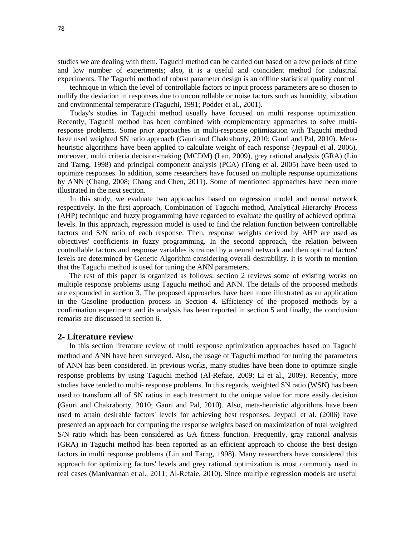studies we are dealing with them. Taguchi method can be carried out based on a few periods of time and low number of experiments; also, it is a useful and coincident method for industrial experiments. The Taguchi method of robust parameter design is an offline statistical quality control

technique in which the level of controllable factors or input process parameters are so chosen to nullify the deviation in responses due to uncontrollable or noise factors such as humidity, vibration and environmental temperature (Taguchi, 1991; Podder et al., 2001).

Today's studies in Taguchi method usually have focused on multi response optimization. Recently, Taguchi method has been combined with complementary approaches to solve multiresponse problems. Some prior approaches in multi-response optimization with Taguchi method have used weighted SN ratio approach (Gauri and Chakraborty, 2010; Gauri and Pal, 2010). Metaheuristic algorithms have been applied to calculate weight of each response (Jeypaul et al. 2006), moreover, multi criteria decision-making (MCDM) (Lan, 2009), grey rational analysis (GRA) (Lin and Tarng, 1998) and principal component analysis (PCA) (Tong et al. 2005) have been used to optimize responses. In addition, some researchers have focused on multiple response optimizations by ANN (Chang, 2008; Chang and Chen, 2011). Some of mentioned approaches have been more illustrated in the next section.

In this study, we evaluate two approaches based on regression model and neural network respectively. In the first approach, Combination of Taguchi method, Analytical Hierarchy Process (AHP) technique and fuzzy programming have regarded to evaluate the quality of achieved optimal levels. In this approach, regression model is used to find the relation function between controllable factors and S/N ratio of each response. Then, response weights derived by AHP are used as objectives' coefficients in fuzzy programming. In the second approach, the relation between controllable factors and response variables is trained by a neural network and then optimal factors' levels are determined by Genetic Algorithm considering overall desirability. It is worth to mention that the Taguchi method is used for tuning the ANN parameters.

The rest of this paper is organized as follows: section 2 reviews some of existing works on multiple response problems using Taguchi method and ANN. The details of the proposed methods are expounded in section 3. The proposed approaches have been more illustrated as an application in the Gasoline production process in Section 4. Efficiency of the proposed methods by a confirmation experiment and its analysis has been reported in section 5 and finally, the conclusion remarks are discussed in section 6.

# **2- Literature review**

In this section literature review of multi response optimization approaches based on Taguchi method and ANN have been surveyed. Also, the usage of Taguchi method for tuning the parameters of ANN has been considered. In previous works, many studies have been done to optimize single response problems by using Taguchi method (Al-Refaie, 2009; Li et al., 2009). Recently, more studies have tended to multi- response problems. In this regards, weighted SN ratio (WSN) has been used to transform all of SN ratios in each treatment to the unique value for more easily decision (Gauri and Chakraborty, 2010; Gauri and Pal, 2010). Also, meta-heuristic algorithms have been used to attain desirable factors' levels for achieving best responses. Jeypaul et al. (2006) have presented an approach for computing the response weights based on maximization of total weighted S/N ratio which has been considered as GA fitness function. Frequently, gray rational analysis (GRA) in Taguchi method has been reported as an efficient approach to choose the best design factors in multi response problems (Lin and Tarng, 1998). Many researchers have considered this approach for optimizing factors' levels and grey rational optimization is most commonly used in real cases (Manivannan et al., 2011; Al-Refaie, 2010). Since multiple regression models are useful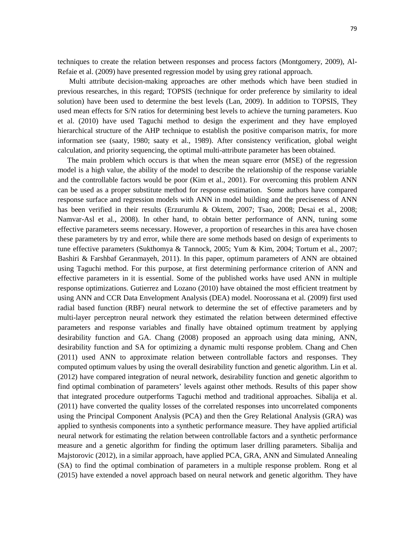techniques to create the relation between responses and process factors (Montgomery, 2009), Al-Refaie et al. (2009) have presented regression model by using grey rational approach.

Multi attribute decision-making approaches are other methods which have been studied in previous researches, in this regard; TOPSIS (technique for order preference by similarity to ideal solution) have been used to determine the best levels (Lan, 2009). In addition to TOPSIS, They used mean effects for S/N ratios for determining best levels to achieve the turning parameters. Kuo et al. (2010) have used Taguchi method to design the experiment and they have employed hierarchical structure of the AHP technique to establish the positive comparison matrix, for more information see (saaty, 1980; saaty et al., 1989). After consistency verification, global weight calculation, and priority sequencing, the optimal multi-attribute parameter has been obtained.

The main problem which occurs is that when the mean square error (MSE) of the regression model is a high value, the ability of the model to describe the relationship of the response variable and the controllable factors would be poor (Kim et al., 2001). For overcoming this problem ANN can be used as a proper substitute method for response estimation. Some authors have compared response surface and regression models with ANN in model building and the preciseness of ANN has been verified in their results (Erzurumlu & Oktem, 2007; Tsao, 2008; Desai et al., 2008; Namvar-Asl et al., 2008). In other hand, to obtain better performance of ANN, tuning some effective parameters seems necessary. However, a proportion of researches in this area have chosen these parameters by try and error, while there are some methods based on design of experiments to tune effective parameters (Sukthomya & Tannock, 2005; Yum & Kim, 2004; Tortum et al., 2007; Bashiri & Farshbaf Geranmayeh, 2011). In this paper, optimum parameters of ANN are obtained using Taguchi method. For this purpose, at first determining performance criterion of ANN and effective parameters in it is essential. Some of the published works have used ANN in multiple response optimizations. Gutierrez and Lozano (2010) have obtained the most efficient treatment by using ANN and CCR Data Envelopment Analysis (DEA) model. Noorossana et al. (2009) first used radial based function (RBF) neural network to determine the set of effective parameters and by multi-layer perceptron neural network they estimated the relation between determined effective parameters and response variables and finally have obtained optimum treatment by applying desirability function and GA. Chang (2008) proposed an approach using data mining, ANN, desirability function and SA for optimizing a dynamic multi response problem. Chang and Chen (2011) used ANN to approximate relation between controllable factors and responses. They computed optimum values by using the overall desirability function and genetic algorithm. Lin et al. (2012) have compared integration of neural network, desirability function and genetic algorithm to find optimal combination of parameters' levels against other methods. Results of this paper show that integrated procedure outperforms Taguchi method and traditional approaches. Sibalija et al. (2011) have converted the quality losses of the correlated responses into uncorrelated components using the Principal Component Analysis (PCA) and then the Grey Relational Analysis (GRA) was applied to synthesis components into a synthetic performance measure. They have applied artificial neural network for estimating the relation between controllable factors and a synthetic performance measure and a genetic algorithm for finding the optimum laser drilling parameters. Sibalija and Majstorovic (2012), in a similar approach, have applied PCA, GRA, ANN and Simulated Annealing (SA) to find the optimal combination of parameters in a multiple response problem. Rong et al (2015) have extended a novel approach based on neural network and genetic algorithm. They have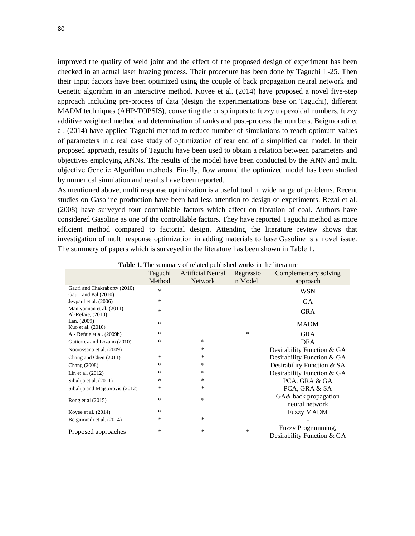improved the quality of weld joint and the effect of the proposed design of experiment has been checked in an actual laser brazing process. Their procedure has been done by Taguchi L-25. Then their input factors have been optimized using the couple of back propagation neural network and Genetic algorithm in an interactive method. Koyee et al. (2014) have proposed a novel five-step approach including pre-process of data (design the experimentations base on Taguchi), different MADM techniques (AHP-TOPSIS), converting the crisp inputs to fuzzy trapezoidal numbers, fuzzy additive weighted method and determination of ranks and post-process the numbers. Beigmoradi et al. (2014) have applied Taguchi method to reduce number of simulations to reach optimum values of parameters in a real case study of optimization of rear end of a simplified car model. In their proposed approach, results of Taguchi have been used to obtain a relation between parameters and objectives employing ANNs. The results of the model have been conducted by the ANN and multi objective Genetic Algorithm methods. Finally, flow around the optimized model has been studied by numerical simulation and results have been reported.

As mentioned above, multi response optimization is a useful tool in wide range of problems. Recent studies on Gasoline production have been had less attention to design of experiments. Rezai et al. (2008) have surveyed four controllable factors which affect on flotation of coal. Authors have considered Gasoline as one of the controllable factors. They have reported Taguchi method as more efficient method compared to factorial design. Attending the literature review shows that investigation of multi response optimization in adding materials to base Gasoline is a novel issue. The summery of papers which is surveyed in the literature has been shown in Table 1.

|                                                      | Taguchi<br>Method | <b>Artificial Neural</b><br><b>Network</b> | Regressio<br>n Model | Complementary solving<br>approach                |
|------------------------------------------------------|-------------------|--------------------------------------------|----------------------|--------------------------------------------------|
| Gauri and Chakraborty (2010)<br>Gauri and Pal (2010) | *                 |                                            |                      | WSN                                              |
| Jeypaul et al. (2006)                                | *                 |                                            |                      | <b>GA</b>                                        |
| Manivannan et al. (2011)<br>Al-Refaie, (2010)        | *                 |                                            |                      | <b>GRA</b>                                       |
| Lan, $(2009)$<br>Kuo et al. (2010)                   | *                 |                                            |                      | <b>MADM</b>                                      |
| Al-Refaie et al. (2009b)                             | *                 |                                            | *                    | <b>GRA</b>                                       |
| Gutierrez and Lozano (2010)                          | *                 | *                                          |                      | <b>DEA</b>                                       |
| Noorossana et al. (2009)                             |                   | *                                          |                      | Desirability Function & GA                       |
| Chang and Chen (2011)                                | *                 | *                                          |                      | Desirability Function & GA                       |
| Chang (2008)                                         | *                 | *                                          |                      | Desirability Function & SA                       |
| Lin et al. (2012)                                    | *                 | *                                          |                      | Desirability Function & GA                       |
| Sibalija et al. (2011)                               | *                 | *                                          |                      | PCA, GRA & GA                                    |
| Sibalija and Majstorovic (2012)                      | *                 | *                                          |                      | PCA, GRA & SA                                    |
| Rong et al (2015)                                    | *                 | *                                          |                      | GA& back propagation<br>neural network           |
| Koyee et al. $(2014)$                                | *                 |                                            |                      | <b>Fuzzy MADM</b>                                |
| Beigmoradi et al. (2014)                             | *                 | *                                          |                      |                                                  |
| Proposed approaches                                  | *                 | *                                          | $\ast$               | Fuzzy Programming,<br>Desirability Function & GA |

**Table 1.** The summary of related published works in the literature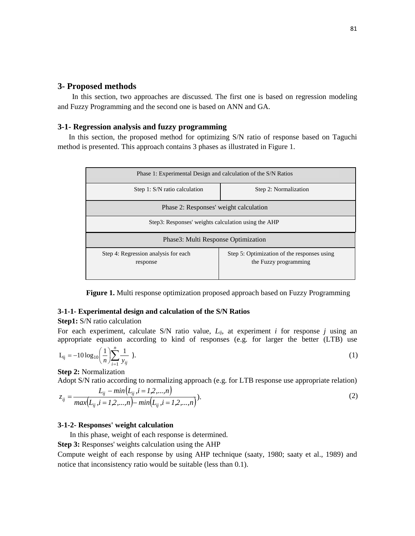# **3- Proposed methods**

In this section, two approaches are discussed. The first one is based on regression modeling and Fuzzy Programming and the second one is based on ANN and GA.

# **3-1- Regression analysis and fuzzy programming**

 In this section, the proposed method for optimizing S/N ratio of response based on Taguchi method is presented. This approach contains 3 phases as illustrated in Figure 1.

| Phase 1: Experimental Design and calculation of the S/N Ratios |                                                                      |  |  |  |  |  |
|----------------------------------------------------------------|----------------------------------------------------------------------|--|--|--|--|--|
| Step 1: S/N ratio calculation                                  | Step 2: Normalization                                                |  |  |  |  |  |
| Phase 2: Responses' weight calculation                         |                                                                      |  |  |  |  |  |
| Step3: Responses' weights calculation using the AHP            |                                                                      |  |  |  |  |  |
| Phase3: Multi Response Optimization                            |                                                                      |  |  |  |  |  |
| Step 4: Regression analysis for each<br>response               | Step 5: Optimization of the responses using<br>the Fuzzy programming |  |  |  |  |  |

**Figure 1.** Multi response optimization proposed approach based on Fuzzy Programming

# **3-1-1- Experimental design and calculation of the S/N Ratios**

# **Step1:** S/N ratio calculation

For each experiment, calculate S/N ratio value, *Lij*, at experiment *i* for response *j* using an appropriate equation according to kind of responses (e.g. for larger the better (LTB) use

$$
L_{ij} = -10 \log_{10} \left( \frac{1}{n} \right) \sum_{i=1}^{n} \frac{1}{y_{ij}} ). \tag{1}
$$

**Step 2:** Normalization

Adopt S/N ratio according to normalizing approach (e.g. for LTB response use appropriate relation)

$$
z_{ij} = \frac{L_{ij} - \min(L_{ij}, i = 1, 2, ..., n)}{\max(L_{ij}, i = 1, 2, ..., n) - \min(L_{ij}, i = 1, 2, ..., n)}.
$$
\n(2)

# **3-1-2- Responses' weight calculation**

In this phase, weight of each response is determined.

**Step 3:** Responses' weights calculation using the AHP

Compute weight of each response by using AHP technique (saaty, 1980; saaty et al., 1989) and notice that inconsistency ratio would be suitable (less than 0.1).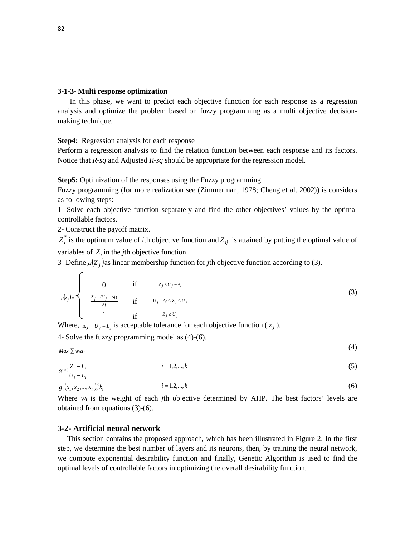### **3-1-3- Multi response optimization**

In this phase, we want to predict each objective function for each response as a regression analysis and optimize the problem based on fuzzy programming as a multi objective decisionmaking technique.

#### **Step4:** Regression analysis for each response

Perform a regression analysis to find the relation function between each response and its factors. Notice that *R*-*sq* and Adjusted *R*-*sq* should be appropriate for the regression model.

**Step5:** Optimization of the responses using the Fuzzy programming

Fuzzy programming (for more realization see (Zimmerman, 1978; Cheng et al. 2002)) is considers as following steps:

1- Solve each objective function separately and find the other objectives' values by the optimal controllable factors.

2- Construct the payoff matrix.

 $Z_i^*$  is the optimum value of *i*th objective function and  $Z_{ij}$  is attained by putting the optimal value of variables of  $Z_i$  in the *j*th objective function.

3- Define  $\mu(Z_i)$  as linear membership function for *j*th objective function according to (3).

$$
\mu(z_j) = \begin{cases}\n0 & \text{if } z_j \leq U_j - \Delta j \\
\frac{z_j - (U_j - \Delta j)}{\Delta j} & \text{if } U_j - \Delta j \leq Z_j \leq U_j \\
1 & \text{if } z_j \geq U_j\n\end{cases}
$$
\n(3)

Where,  $\Delta_i = U_i - L_j$  is acceptable tolerance for each objective function ( $Z_i$ ).

4- Solve the fuzzy programming model as (4)-(6).

$$
Max \sum w_i \alpha_i \tag{4}
$$

$$
\alpha \le \frac{Z_i - L_i}{U_i - L_i} \qquad i = 1, 2, \dots, k \tag{5}
$$

$$
g_i(x_1, x_2, \dots, x_n) \leq b_i \qquad \qquad i = 1, 2, \dots, k \tag{6}
$$

Where  $w_i$  is the weight of each *j*th objective determined by AHP. The best factors' levels are obtained from equations (3)-(6).

### **3-2- Artificial neural network**

This section contains the proposed approach, which has been illustrated in Figure 2. In the first step, we determine the best number of layers and its neurons, then, by training the neural network, we compute exponential desirability function and finally, Genetic Algorithm is used to find the optimal levels of controllable factors in optimizing the overall desirability function.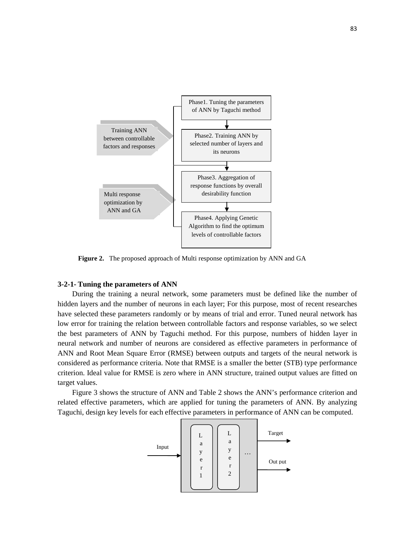

**Figure 2.** The proposed approach of Multi response optimization by ANN and GA

# **3-2-1- Tuning the parameters of ANN**

During the training a neural network, some parameters must be defined like the number of hidden layers and the number of neurons in each layer; For this purpose, most of recent researches have selected these parameters randomly or by means of trial and error. Tuned neural network has low error for training the relation between controllable factors and response variables, so we select the best parameters of ANN by Taguchi method. For this purpose, numbers of hidden layer in neural network and number of neurons are considered as effective parameters in performance of ANN and Root Mean Square Error (RMSE) between outputs and targets of the neural network is considered as performance criteria. Note that RMSE is a smaller the better (STB) type performance criterion. Ideal value for RMSE is zero where in ANN structure, trained output values are fitted on target values.

Figure 3 shows the structure of ANN and Table 2 shows the ANN's performance criterion and related effective parameters, which are applied for tuning the parameters of ANN. By analyzing Taguchi, design key levels for each effective parameters in performance of ANN can be computed.

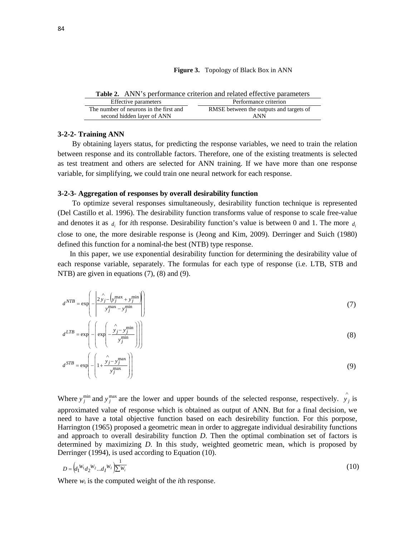#### **Figure 3.** Topology of Black Box in ANN

**Table 2.** ANN's performance criterion and related effective parameters

| Effective parameters                   | Performance criterion                   |
|----------------------------------------|-----------------------------------------|
| The number of neurons in the first and | RMSE between the outputs and targets of |
| second hidden layer of ANN             | ANN                                     |

### **3-2-2- Training ANN**

By obtaining layers status, for predicting the response variables, we need to train the relation between response and its controllable factors. Therefore, one of the existing treatments is selected as test treatment and others are selected for ANN training. If we have more than one response variable, for simplifying, we could train one neural network for each response.

### **3-2-3- Aggregation of responses by overall desirability function**

To optimize several responses simultaneously, desirability function technique is represented (Del Castillo et al. 1996). The desirability function transforms value of response to scale free-value and denotes it as  $\hat{d}$  for *i*th response. Desirability function's value is between 0 and 1. The more  $\hat{d}$ close to one, the more desirable response is (Jeong and Kim, 2009). Derringer and Suich (1980) defined this function for a nominal-the best (NTB) type response.

In this paper, we use exponential desirability function for determining the desirability value of each response variable, separately. The formulas for each type of response (i.e. LTB, STB and NTB) are given in equations (7), (8) and (9).

$$
dNTB = \exp\left(-\left|\frac{2\hat{y}_j - \left(y_j^{\max} + y_j^{\min}\right)}{y_j^{\max} - y_j^{\min}}\right|\right)
$$
(7)

$$
d^{LTB} = \exp\left(-\left(\exp\left(-\frac{\hat{y}_j - y_j^{\min}}{y_j^{\min}}\right)\right)\right)
$$
(8)

$$
d^{STB} = \exp\left(-\left(1 + \frac{\hat{y}_j - y_j^{\text{max}}}{y_j^{\text{max}}}\right)\right) \tag{9}
$$

Where  $y_j^{\text{min}}$  and  $y_j^{\text{max}}$  are the lower and upper bounds of the selected response, respectively.  $\hat{y}_j$  is approximated value of response which is obtained as output of ANN. But for a final decision, we need to have a total objective function based on each desirebility function. For this porpose, Harrington (1965) proposed a geometric mean in order to aggregate individual desirability functions and approach to overall desirability function *D*. Then the optimal combination set of factors is determined by maximizing *D*. In this study, weighted geometric mean, which is proposed by Derringer (1994), is used according to Equation (10).

$$
D = \left( d_1^{W_1} d_2^{W_2} \dots d_I^{W_I} \right) \overline{\sum_{i=1}^{W_I}} \tag{10}
$$

Where  $w_i$  is the computed weight of the *i*th response.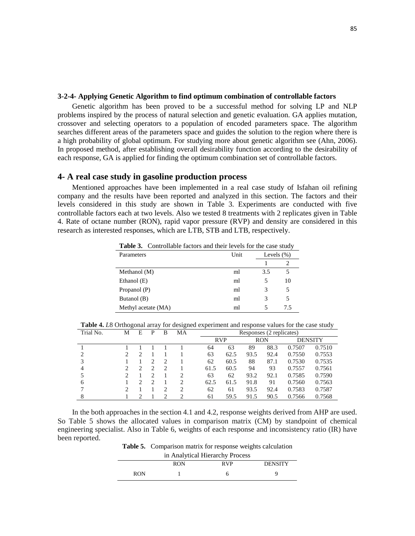## **3-2-4- Applying Genetic Algorithm to find optimum combination of controllable factors**

Genetic algorithm has been proved to be a successful method for solving LP and NLP problems inspired by the process of natural selection and genetic evaluation. GA applies mutation, crossover and selecting operators to a population of encoded parameters space. The algorithm searches different areas of the parameters space and guides the solution to the region where there is a high probability of global optimum. For studying more about genetic algorithm see (Ahn, 2006). In proposed method, after establishing overall desirability function according to the desirability of each response, GA is applied for finding the optimum combination set of controllable factors.

# **4- A real case study in gasoline production process**

Mentioned approaches have been implemented in a real case study of Isfahan oil refining company and the results have been reported and analyzed in this section. The factors and their levels considered in this study are shown in Table 3. Experiments are conducted with five controllable factors each at two levels. Also we tested 8 treatments with 2 replicates given in Table 4. Rate of octane number (RON), rapid vapor pressure (RVP) and density are considered in this research as interested responses, which are LTB, STB and LTB, respectively.

| <b>Table 3.</b> Controllable factors and their levels for the case study |      |               |     |  |
|--------------------------------------------------------------------------|------|---------------|-----|--|
| Parameters                                                               | Unit | Levels $(\%)$ |     |  |
|                                                                          |      |               |     |  |
| Methanol (M)                                                             | ml   | 3.5           | 5   |  |
| Ethanol (E)                                                              | ml   | 5             | 10  |  |
| Propanol (P)                                                             | ml   | 3             | 5   |  |
| Butanol (B)                                                              | ml   | 3             | 5   |  |
| Methyl acetate (MA)                                                      | ml   |               | 7.5 |  |

**Table 3.** Controllable factors and their levels for the case study

**Table 4.** *L*8 Orthogonal array for designed experiment and response values for the case study

| Trial No. | М                           | E | P | B                           | MA | Responses (2 replicates) |            |      |            |        |                |
|-----------|-----------------------------|---|---|-----------------------------|----|--------------------------|------------|------|------------|--------|----------------|
|           |                             |   |   |                             |    |                          | <b>RVP</b> |      | <b>RON</b> |        | <b>DENSITY</b> |
|           |                             |   |   |                             |    | 64                       | 63         | 89   | 88.3       | 0.7507 | 0.7510         |
| 2         | $\mathcal{D}_{\mathcal{L}}$ |   |   |                             |    | 63                       | 62.5       | 93.5 | 92.4       | 0.7550 | 0.7553         |
| 3         |                             |   | っ | $\mathcal{D}$               |    | 62                       | 60.5       | 88   | 87.1       | 0.7530 | 0.7535         |
| 4         | $\mathcal{D}_{\mathcal{L}}$ | 2 | ↑ | $\mathcal{D}_{\mathcal{A}}$ |    | 61.5                     | 60.5       | 94   | 93         | 0.7557 | 0.7561         |
|           |                             |   |   |                             | 2  | 63                       | 62         | 93.2 | 92.1       | 0.7585 | 0.7590         |
| 6         |                             | ∍ | ↑ |                             | 2  | 62.5                     | 61.5       | 91.8 | 91         | 0.7560 | 0.7563         |
|           | $\mathcal{D}_{\mathcal{L}}$ |   |   |                             | 2  | 62                       | 61         | 93.5 | 92.4       | 0.7583 | 0.7587         |
| 8         |                             |   |   |                             | ∍  | 61                       | 59.5       | 91.5 | 90.5       | 0.7566 | 0.7568         |

In the both approaches in the section 4.1 and 4.2, response weights derived from AHP are used. So Table 5 shows the allocated values in comparison matrix (CM) by standpoint of chemical engineering specialist. Also in Table 6, weights of each response and inconsistency ratio (IR) have been reported.

**Table 5.** Comparison matrix for response weights calculation in Analytical Hierarchy  $P_1$ 

| in Analytical Hierarchy Process |     |       |                |  |  |  |  |
|---------------------------------|-----|-------|----------------|--|--|--|--|
|                                 | RON | R V P | <b>DENSITY</b> |  |  |  |  |
| RON                             |     |       |                |  |  |  |  |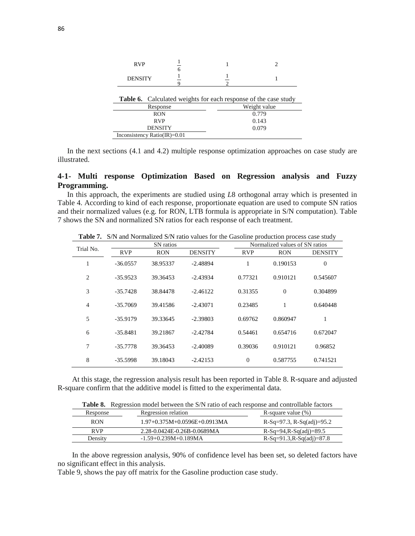| <b>RVP</b>                   | 6 |                                                                 |              |  |  |
|------------------------------|---|-----------------------------------------------------------------|--------------|--|--|
| <b>DENSITY</b>               |   |                                                                 |              |  |  |
|                              |   | Table 6. Calculated weights for each response of the case study |              |  |  |
| Response                     |   |                                                                 | Weight value |  |  |
| <b>RON</b>                   |   |                                                                 | 0.779        |  |  |
| <b>RVP</b>                   |   |                                                                 | 0.143        |  |  |
| <b>DENSITY</b>               |   |                                                                 | 0.079        |  |  |
| Inconsistency Ratio(IR)=0.01 |   |                                                                 |              |  |  |

In the next sections (4.1 and 4.2) multiple response optimization approaches on case study are illustrated.

# **4-1- Multi response Optimization Based on Regression analysis and Fuzzy Programming.**

In this approach, the experiments are studied using *L*8 orthogonal array which is presented in Table 4. According to kind of each response, proportionate equation are used to compute SN ratios and their normalized values (e.g. for RON, LTB formula is appropriate in S/N computation). Table 7 shows the SN and normalized SN ratios for each response of each treatment.

|                |            | SN ratios  |                | $\frac{1}{2}$  | Normalized values of SN ratios |                |  |  |
|----------------|------------|------------|----------------|----------------|--------------------------------|----------------|--|--|
| Trial No.      | <b>RVP</b> | <b>RON</b> | <b>DENSITY</b> | <b>RVP</b>     | <b>RON</b>                     | <b>DENSITY</b> |  |  |
| 1              | $-36.0557$ | 38.95337   | $-2.48894$     | 1              | 0.190153                       | $\Omega$       |  |  |
| 2              | $-35.9523$ | 39.36453   | $-2.43934$     | 0.77321        | 0.910121                       | 0.545607       |  |  |
| 3              | $-35.7428$ | 38.84478   | $-2.46122$     | 0.31355        | $\Omega$                       | 0.304899       |  |  |
| $\overline{4}$ | $-35.7069$ | 39.41586   | $-2.43071$     | 0.23485        | 1                              | 0.640448       |  |  |
| 5              | $-35.9179$ | 39.33645   | $-2.39803$     | 0.69762        | 0.860947                       | 1              |  |  |
| 6              | $-35.8481$ | 39.21867   | $-2.42784$     | 0.54461        | 0.654716                       | 0.672047       |  |  |
| 7              | $-35.7778$ | 39.36453   | $-2.40089$     | 0.39036        | 0.910121                       | 0.96852        |  |  |
| 8              | $-35.5998$ | 39.18043   | $-2.42153$     | $\overline{0}$ | 0.587755                       | 0.741521       |  |  |

**Table 7.** S/N and Normalized S/N ratio values for the Gasoline production process case study

At this stage, the regression analysis result has been reported in Table 8. R-square and adjusted R-square confirm that the additive model is fitted to the experimental data.

| <b>Table 8.</b> Regression model between the S/N ratio of each response and controllable factors |                                |                             |  |  |  |  |  |
|--------------------------------------------------------------------------------------------------|--------------------------------|-----------------------------|--|--|--|--|--|
| Response                                                                                         | Regression relation            | R-square value $(\%)$       |  |  |  |  |  |
| <b>RON</b>                                                                                       | $1.97+0.375M+0.0596E+0.0913MA$ | R-Sq=97.3, R-Sq(adj)=95.2   |  |  |  |  |  |
| <b>RVP</b>                                                                                       | 2.28-0.0424E-0.26B-0.0689MA    | $R-Sq=94, R-Sq(adj)=89.5$   |  |  |  |  |  |
| Density                                                                                          | $-1.59+0.239M+0.189MA$         | $R-Sq=91.3, R-Sq(adj)=87.8$ |  |  |  |  |  |

In the above regression analysis, 90% of confidence level has been set, so deleted factors have no significant effect in this analysis.

Table 9, shows the pay off matrix for the Gasoline production case study.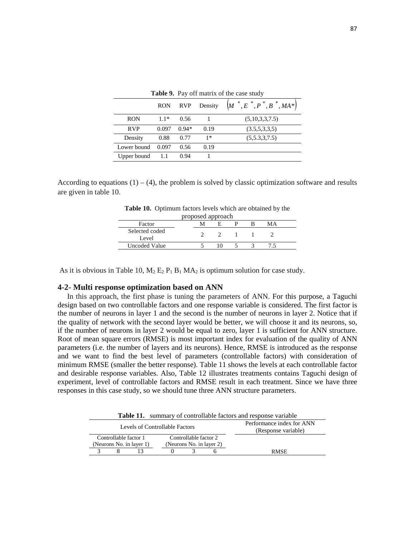|             | <b>RON</b> | <b>RVP</b> | Density | $\left(M^{*},E^{*},P^{*},B^{*},MA^{*}\right)$ |
|-------------|------------|------------|---------|-----------------------------------------------|
| <b>RON</b>  | $1.1*$     | 0.56       |         | (5,10,3,3,7.5)                                |
| <b>RVP</b>  | 0.097      | $0.94*$    | 0.19    | (3.5,5,3,3,5)                                 |
| Density     | 0.88       | 0.77       | $1*$    | (5,5.3,3.7.5)                                 |
| Lower bound | 0.097      | 0.56       | 0.19    |                                               |
| Upper bound |            | 0.94       |         |                                               |

**Table 9.** Pay off matrix of the case study

According to equations  $(1) - (4)$ , the problem is solved by classic optimization software and results are given in table 10.

**Table 10.** Optimum factors levels which are obtained by the

| proposed approach       |  |  |  |  |    |  |
|-------------------------|--|--|--|--|----|--|
| Factor                  |  |  |  |  | MА |  |
| Selected coded<br>Level |  |  |  |  |    |  |
| Uncoded Value           |  |  |  |  |    |  |

As it is obvious in Table 10,  $M_2$   $E_2$   $P_1$   $B_1$   $MA_2$  is optimum solution for case study.

### **4-2- Multi response optimization based on ANN**

In this approach, the first phase is tuning the parameters of ANN. For this purpose, a Taguchi design based on two controllable factors and one response variable is considered. The first factor is the number of neurons in layer 1 and the second is the number of neurons in layer 2. Notice that if the quality of network with the second layer would be better, we will choose it and its neurons, so, if the number of neurons in layer 2 would be equal to zero, layer 1 is sufficient for ANN structure. Root of mean square errors (RMSE) is most important index for evaluation of the quality of ANN parameters (i.e. the number of layers and its neurons). Hence, RMSE is introduced as the response and we want to find the best level of parameters (controllable factors) with consideration of minimum RMSE (smaller the better response). Table 11 shows the levels at each controllable factor and desirable response variables. Also, Table 12 illustrates treatments contains Taguchi design of experiment, level of controllable factors and RMSE result in each treatment. Since we have three responses in this case study, so we should tune three ANN structure parameters.

**Table 11.** summary of controllable factors and response variable

|                          | Levels of Controllable Factors | Performance index for ANN<br>(Response variable) |  |             |
|--------------------------|--------------------------------|--------------------------------------------------|--|-------------|
| Controllable factor 1    |                                | Controllable factor 2                            |  |             |
| (Neurons No. in layer 1) |                                | (Neurons No. in layer 2)                         |  |             |
|                          |                                |                                                  |  | <b>RMSE</b> |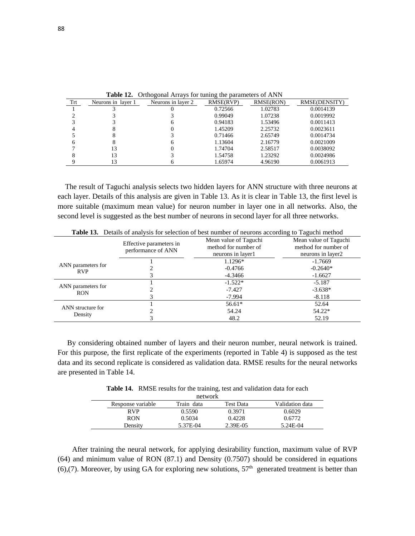| Trt | Neurons in layer 1 | $\sim$ . $\sim$ . $\sim$ . $\sim$ . $\sim$ . $\sim$ . $\sim$ . $\sim$ . $\sim$ . $\sim$ . $\sim$ . $\sim$ . $\sim$ . $\sim$ . $\sim$ . $\sim$ . $\sim$ . $\sim$ . $\sim$ . $\sim$ . $\sim$ . $\sim$ . $\sim$ . $\sim$ . $\sim$ . $\sim$ . $\sim$ . $\sim$ . $\sim$ . $\sim$ . $\sim$ . $\sim$<br>Neurons in laver 2 | RMSE(RVP) | RMSE(RON) | RMSE(DENSITY) |
|-----|--------------------|---------------------------------------------------------------------------------------------------------------------------------------------------------------------------------------------------------------------------------------------------------------------------------------------------------------------|-----------|-----------|---------------|
|     |                    |                                                                                                                                                                                                                                                                                                                     | 0.72566   | 1.02783   | 0.0014139     |
|     |                    |                                                                                                                                                                                                                                                                                                                     | 0.99049   | 1.07238   | 0.0019992     |
|     |                    |                                                                                                                                                                                                                                                                                                                     | 0.94183   | 1.53496   | 0.0011413     |
|     |                    |                                                                                                                                                                                                                                                                                                                     | 1.45209   | 2.25732   | 0.0023611     |
|     |                    |                                                                                                                                                                                                                                                                                                                     | 0.71466   | 2.65749   | 0.0014734     |
|     |                    |                                                                                                                                                                                                                                                                                                                     | 1.13604   | 2.16779   | 0.0021009     |
|     |                    |                                                                                                                                                                                                                                                                                                                     | 1.74704   | 2.58517   | 0.0038092     |
|     | 13                 |                                                                                                                                                                                                                                                                                                                     | 1.54758   | 1.23292   | 0.0024986     |
|     |                    |                                                                                                                                                                                                                                                                                                                     | 1.65974   | 4.96190   | 0.0061913     |

**Table 12.** Orthogonal Arrays for tuning the parameters of ANN

 The result of Taguchi analysis selects two hidden layers for ANN structure with three neurons at each layer. Details of this analysis are given in Table 13. As it is clear in Table 13, the first level is more suitable (maximum mean value) for neuron number in layer one in all networks. Also, the second level is suggested as the best number of neurons in second layer for all three networks.

| <b>Table 15.</b> Details of analysis for selection of best humber of hearons according to Taguelli inclinua |                                               |                                                                    |                                                                    |  |
|-------------------------------------------------------------------------------------------------------------|-----------------------------------------------|--------------------------------------------------------------------|--------------------------------------------------------------------|--|
|                                                                                                             | Effective parameters in<br>performance of ANN | Mean value of Taguchi<br>method for number of<br>neurons in layer1 | Mean value of Taguchi<br>method for number of<br>neurons in layer2 |  |
|                                                                                                             |                                               | 1.1296*                                                            | $-1.7669$                                                          |  |
| ANN parameters for<br><b>RVP</b>                                                                            |                                               | $-0.4766$                                                          | $-0.2640*$                                                         |  |
|                                                                                                             |                                               | -4.3466                                                            | $-1.6627$                                                          |  |
|                                                                                                             |                                               | $-1.522*$                                                          | $-5.187$                                                           |  |
| ANN parameters for<br><b>RON</b>                                                                            |                                               | $-7.427$                                                           | $-3.638*$                                                          |  |
|                                                                                                             |                                               | -7.994                                                             | $-8.118$                                                           |  |
| ANN structure for                                                                                           |                                               | $56.61*$                                                           | 52.64                                                              |  |
| Density                                                                                                     |                                               | 54.24                                                              | 54.22*                                                             |  |
|                                                                                                             |                                               | 48.2                                                               | 52.19                                                              |  |

**Table 13.** Details of analysis for selection of best number of neurons according to Taguchi method

By considering obtained number of layers and their neuron number, neural network is trained. For this purpose, the first replicate of the experiments (reported in Table 4) is supposed as the test data and its second replicate is considered as validation data. RMSE results for the neural networks are presented in Table 14.

**Table 14.** RMSE results for the training, test and validation data for each

| network           |            |           |                 |  |
|-------------------|------------|-----------|-----------------|--|
| Response variable | Train data | Test Data | Validation data |  |
| <b>RVP</b>        | 0.5590     | 0.3971    | 0.6029          |  |
| <b>RON</b>        | 0.5034     | 0.4228    | 0.6772          |  |
| Densitv           | 5.37E-04   | 2.39E-05  | 5.24E-04        |  |
|                   |            |           |                 |  |

After training the neural network, for applying desirability function, maximum value of RVP (64) and minimum value of RON (87.1) and Density (0.7507) should be considered in equations (6),(7). Moreover, by using GA for exploring new solutions,  $57<sup>th</sup>$  generated treatment is better than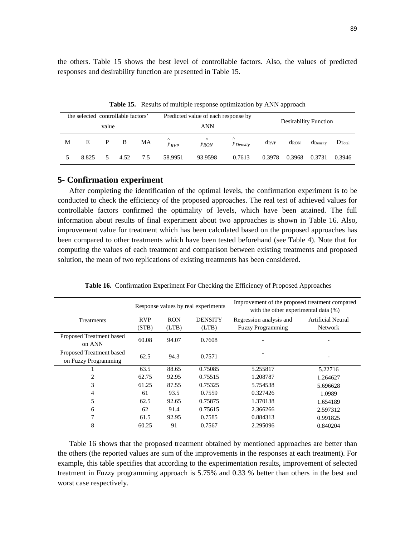the others. Table 15 shows the best level of controllable factors. Also, the values of predicted responses and desirability function are presented in Table 15.

Predicted value of each response by<br>
Desirability Function ANN the selected controllable factors' value ∧ and *P Density* dRVP dRON dDensity D⊤otal *yRVP yRON*  $M$  E P B MA  $\gamma$ 5 8.825 5 4.52 7.5 58.9951 93.9598 0.7613 0.3978 0.3968 0.3731 0.3946

**Table 15.** Results of multiple response optimization by ANN approach

# **5- Confirmation experiment**

After completing the identification of the optimal levels, the confirmation experiment is to be conducted to check the efficiency of the proposed approaches. The real test of achieved values for controllable factors confirmed the optimality of levels, which have been attained. The full information about results of final experiment about two approaches is shown in Table 16. Also, improvement value for treatment which has been calculated based on the proposed approaches has been compared to other treatments which have been tested beforehand (see Table 4). Note that for computing the values of each treatment and comparison between existing treatments and proposed solution, the mean of two replications of existing treatments has been considered.

|                          | Response values by real experiments |                | Improvement of the proposed treatment compared<br>with the other experimental data (%) |                          |                          |
|--------------------------|-------------------------------------|----------------|----------------------------------------------------------------------------------------|--------------------------|--------------------------|
| Treatments               | <b>RVP</b>                          | <b>RON</b>     | <b>DENSITY</b>                                                                         | Regression analysis and  | <b>Artificial Neural</b> |
|                          | (STB)                               | (LTB)          | (LTB)                                                                                  | <b>Fuzzy Programming</b> | <b>Network</b>           |
| Proposed Treatment based |                                     | 60.08<br>94.07 | 0.7608                                                                                 |                          |                          |
| on ANN                   |                                     |                |                                                                                        |                          |                          |
| Proposed Treatment based | 62.5                                | 94.3           | 0.7571                                                                                 |                          |                          |
| on Fuzzy Programming     |                                     |                |                                                                                        |                          |                          |
|                          | 63.5                                | 88.65          | 0.75085                                                                                | 5.255817                 | 5.22716                  |
| 2                        | 62.75                               | 92.95          | 0.75515                                                                                | 1.208787                 | 1.264627                 |
| 3                        | 61.25                               | 87.55          | 0.75325                                                                                | 5.754538                 | 5.696628                 |
| 4                        | 61                                  | 93.5           | 0.7559                                                                                 | 0.327426                 | 1.0989                   |
| 5                        | 62.5                                | 92.65          | 0.75875                                                                                | 1.370138                 | 1.654189                 |
| 6                        | 62                                  | 91.4           | 0.75615                                                                                | 2.366266                 | 2.597312                 |
|                          | 61.5                                | 92.95          | 0.7585                                                                                 | 0.884313                 | 0.991825                 |
| 8                        | 60.25                               | 91             | 0.7567                                                                                 | 2.295096                 | 0.840204                 |

**Table 16.** Confirmation Experiment For Checking the Efficiency of Proposed Approaches

Table 16 shows that the proposed treatment obtained by mentioned approaches are better than the others (the reported values are sum of the improvements in the responses at each treatment). For example, this table specifies that according to the experimentation results, improvement of selected treatment in Fuzzy programming approach is 5.75% and 0.33 % better than others in the best and worst case respectively.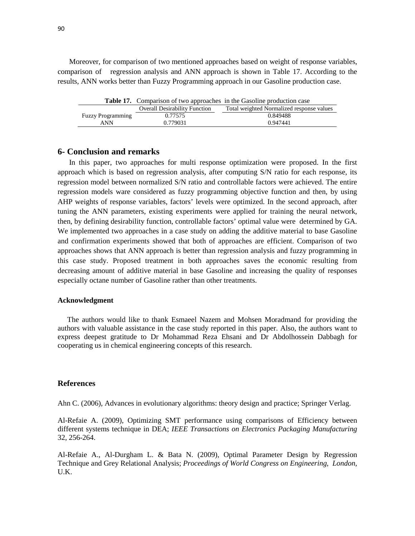Moreover, for comparison of two mentioned approaches based on weight of response variables, comparison of regression analysis and ANN approach is shown in Table 17. According to the results, ANN works better than Fuzzy Programming approach in our Gasoline production case.

|                          |                                      | <b>Table 17.</b> Comparison of two approaches in the Gasoline production case |
|--------------------------|--------------------------------------|-------------------------------------------------------------------------------|
|                          | <b>Overall Desirability Function</b> | Total weighted Normalized response values                                     |
| <b>Fuzzy Programming</b> | 0.77575                              | 0.849488                                                                      |
| <b>ANN</b>               | 0.779031                             | 0.947441                                                                      |

# **6- Conclusion and remarks**

In this paper, two approaches for multi response optimization were proposed. In the first approach which is based on regression analysis, after computing S/N ratio for each response, its regression model between normalized S/N ratio and controllable factors were achieved. The entire regression models ware considered as fuzzy programming objective function and then, by using AHP weights of response variables, factors' levels were optimized. In the second approach, after tuning the ANN parameters, existing experiments were applied for training the neural network, then, by defining desirability function, controllable factors' optimal value were determined by GA. We implemented two approaches in a case study on adding the additive material to base Gasoline and confirmation experiments showed that both of approaches are efficient. Comparison of two approaches shows that ANN approach is better than regression analysis and fuzzy programming in this case study. Proposed treatment in both approaches saves the economic resulting from decreasing amount of additive material in base Gasoline and increasing the quality of responses especially octane number of Gasoline rather than other treatments.

## **Acknowledgment**

The authors would like to thank Esmaeel Nazem and Mohsen Moradmand for providing the authors with valuable assistance in the case study reported in this paper. Also, the authors want to express deepest gratitude to Dr Mohammad Reza Ehsani and Dr Abdolhossein Dabbagh for cooperating us in chemical engineering concepts of this research.

## **References**

Ahn C. (2006), Advances in evolutionary algorithms: theory design and practice; Springer Verlag.

Al-Refaie A. (2009), Optimizing SMT performance using comparisons of Efficiency between different systems technique in DEA; *IEEE Transactions on Electronics Packaging Manufacturing* 32, 256-264.

Al-Refaie A., Al-Durgham L. & Bata N. (2009), Optimal Parameter Design by Regression Technique and Grey Relational Analysis; *Proceedings of World Congress on Engineering, London*, U.K.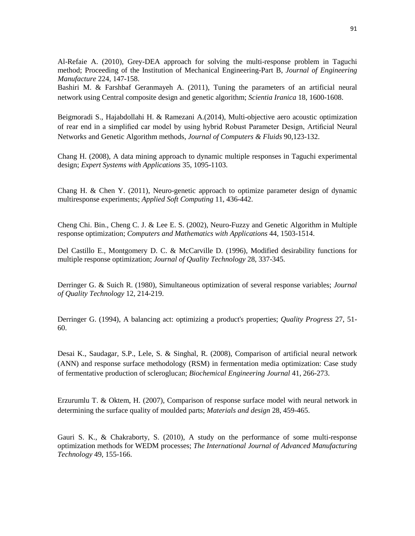Al-Refaie A. (2010), Grey-DEA approach for solving the multi-response problem in Taguchi method; Proceeding of the Institution of Mechanical Engineering-Part B, *Journal of Engineering Manufacture* 224, 147-158.

Bashiri M. & Farshbaf Geranmayeh A. (2011), Tuning the parameters of an artificial neural network using Central composite design and genetic algorithm; *Scientia Iranica* 18, 1600-1608.

Beigmoradi S., Hajabdollahi H. & Ramezani A.(2014), Multi-objective aero acoustic optimization of rear end in a simplified car model by using hybrid Robust Parameter Design, Artificial Neural Networks and Genetic Algorithm methods, *Journal of Computers & Fluids* 90,123-132.

Chang H. (2008), A data mining approach to dynamic multiple responses in Taguchi experimental design; *Expert Systems with Applications* 35, 1095-1103.

Chang H. & Chen Y. (2011), Neuro-genetic approach to optimize parameter design of dynamic multiresponse experiments; *Applied Soft Computing* 11, 436-442.

Cheng Chi. Bin., Cheng C. J. & Lee E. S. (2002), Neuro-Fuzzy and Genetic Algorithm in Multiple response optimization; *Computers and Mathematics with Applications* 44, 1503-1514.

Del Castillo E., Montgomery D. C. & McCarville D. (1996), Modified desirability functions for multiple response optimization; *Journal of Quality Technology* 28, 337-345.

Derringer G. & Suich R. (1980), Simultaneous optimization of several response variables; *Journal of Quality Technology* 12, 214-219.

Derringer G. (1994), A balancing act: optimizing a product's properties; *Quality Progress* 27, 51- 60.

Desai K., Saudagar, S.P., Lele, S. & Singhal, R. (2008), Comparison of artificial neural network (ANN) and response surface methodology (RSM) in fermentation media optimization: Case study of fermentative production of scleroglucan; *Biochemical Engineering Journal* 41, 266-273.

Erzurumlu T. & Oktem, H. (2007), Comparison of response surface model with neural network in determining the surface quality of moulded parts; *Materials and design* 28, 459-465.

Gauri S. K., & Chakraborty, S. (2010), [A study on the performance of some multi-response](http://www.scopus.com/record/display.url?eid=2-s2.0-77953622067&origin=resultslist&sort=plf-f&src=s&st1=Multi+response+optimization&st2=Taguchi&searchTerms=%3f%21%22*%24&sid=aosn15DtQxmSQpxKCQ8KctR%3a80&sot=b&sdt=b&sl=115&s=%28TITLE-ABS-KEY%28Multi+response+optimization%29+AND+TITLE-ABS-KEY%28Taguchi%29+AND+TITLE-ABS-KEY%28WSN%29%29+AND+PUBYEAR+AFT+2009&relpos=0&relpos=0&searchTerm=%28TITLE-ABS-KEY%28Multi%20response%20optimization%29%20AND%20TITLE-ABS-KEY%28Taguchi%29%20AND%20TITLE-ABS-KEY%28WSN%29%29%20AND%20PUBYEAR%20AFT%202009)  [optimization methods for WEDM processes;](http://www.scopus.com/record/display.url?eid=2-s2.0-77953622067&origin=resultslist&sort=plf-f&src=s&st1=Multi+response+optimization&st2=Taguchi&searchTerms=%3f%21%22*%24&sid=aosn15DtQxmSQpxKCQ8KctR%3a80&sot=b&sdt=b&sl=115&s=%28TITLE-ABS-KEY%28Multi+response+optimization%29+AND+TITLE-ABS-KEY%28Taguchi%29+AND+TITLE-ABS-KEY%28WSN%29%29+AND+PUBYEAR+AFT+2009&relpos=0&relpos=0&searchTerm=%28TITLE-ABS-KEY%28Multi%20response%20optimization%29%20AND%20TITLE-ABS-KEY%28Taguchi%29%20AND%20TITLE-ABS-KEY%28WSN%29%29%20AND%20PUBYEAR%20AFT%202009) *The International Journal of Advanced Manufacturing Technology* 49, 155-166.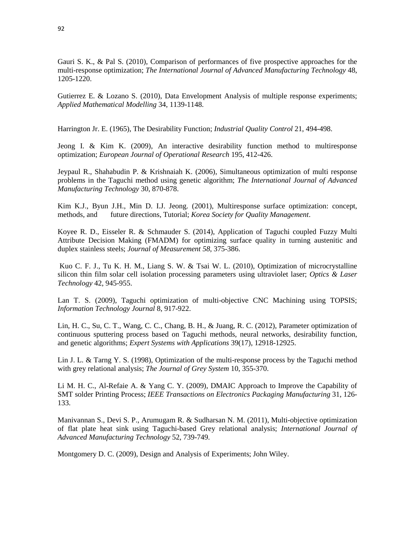Gauri S. K., & Pal S. (2010), [Comparison of performances of five prospective approaches for the](http://www.scopus.com/record/display.url?eid=2-s2.0-77953616911&origin=resultslist&sort=plf-f&src=s&st1=Multi+response+optimization&st2=Taguchi&searchTerms=%3f%21%22*%24&sid=aosn15DtQxmSQpxKCQ8KctR%3a80&sot=b&sdt=b&sl=115&s=%28TITLE-ABS-KEY%28Multi+response+optimization%29+AND+TITLE-ABS-KEY%28Taguchi%29+AND+TITLE-ABS-KEY%28WSN%29%29+AND+PUBYEAR+AFT+2009&relpos=1&relpos=1&searchTerm=%28TITLE-ABS-KEY%28Multi%20response%20optimization%29%20AND%20TITLE-ABS-KEY%28Taguchi%29%20AND%20TITLE-ABS-KEY%28WSN%29%29%20AND%20PUBYEAR%20AFT%202009)  [multi-response optimization;](http://www.scopus.com/record/display.url?eid=2-s2.0-77953616911&origin=resultslist&sort=plf-f&src=s&st1=Multi+response+optimization&st2=Taguchi&searchTerms=%3f%21%22*%24&sid=aosn15DtQxmSQpxKCQ8KctR%3a80&sot=b&sdt=b&sl=115&s=%28TITLE-ABS-KEY%28Multi+response+optimization%29+AND+TITLE-ABS-KEY%28Taguchi%29+AND+TITLE-ABS-KEY%28WSN%29%29+AND+PUBYEAR+AFT+2009&relpos=1&relpos=1&searchTerm=%28TITLE-ABS-KEY%28Multi%20response%20optimization%29%20AND%20TITLE-ABS-KEY%28Taguchi%29%20AND%20TITLE-ABS-KEY%28WSN%29%29%20AND%20PUBYEAR%20AFT%202009) *The International Journal of Advanced Manufacturing Technology* 48, 1205-1220.

Gutierrez E. & Lozano S. (2010), Data Envelopment Analysis of multiple response experiments; *Applied Mathematical Modelling* 34, 1139-1148.

Harrington Jr. E. (1965), The Desirability Function; *Industrial Quality Control* 21, 494-498.

Jeong I. & Kim K. (2009), An interactive desirability function method to multiresponse optimization; *European Journal of Operational Research* 195, 412-426.

Jeypaul R., Shahabudin P. & Krishnaiah K. (2006), Simultaneous optimization of multi response problems in the Taguchi method using genetic algorithm; *The International Journal of Advanced Manufacturing Technology* 30, 870-878.

Kim K.J., Byun J.H., Min D. I.J. Jeong. (2001), Multiresponse surface optimization: concept, methods, and future directions, Tutorial; *Korea Society for Quality Management*.

Koyee R. D., Eisseler R. & Schmauder S. (2014), Application of Taguchi coupled Fuzzy Multi Attribute Decision Making (FMADM) for optimizing surface quality in turning austenitic and duplex stainless steels; *Journal of Measurement 58*, 375-386.

Kuo C. F. J., Tu K. H. M., Liang S. W. & Tsai W. L. (2010), [Optimization of microcrystalline](http://www.sciencedirect.com/science?_ob=GatewayURL&_method=citationSearch&_urlVersion=4&_origin=SDTOPTWOFIVE&_version=1&_piikey=S0030399210000149&md5=a786801fe97c0142e9a260a7abc722ad)  [silicon thin film solar cell isolation processing parameters using ultraviolet laser;](http://www.sciencedirect.com/science?_ob=GatewayURL&_method=citationSearch&_urlVersion=4&_origin=SDTOPTWOFIVE&_version=1&_piikey=S0030399210000149&md5=a786801fe97c0142e9a260a7abc722ad) *Optics & Laser Technology* 42, 945-955.

Lan T. S. (2009), Taguchi optimization of multi-objective CNC Machining using TOPSIS; *Information Technology Journal* 8, 917-922.

Lin, H. C., Su, C. T., Wang, C. C., Chang, B. H., & Juang, R. C. (2012), Parameter optimization of continuous sputtering process based on Taguchi methods, neural networks, desirability function, and genetic algorithms; *Expert Systems with Applications* 39(17), 12918-12925.

Lin J. L. & Tarng Y. S. (1998), Optimization of the multi-response process by the Taguchi method with grey relational analysis; *The Journal of Grey System* 10, 355-370.

Li M. H. C., Al-Refaie A. & Yang C. Y. (2009), DMAIC Approach to Improve the Capability of SMT solder Printing Process; *IEEE Transactions on Electronics Packaging Manufacturing* 31, 126- 133.

Manivannan S., Devi S. P., Arumugam R. & Sudharsan N. M. (2011), [Multi-objective optimization](http://www.scopus.com/record/display.url?eid=2-s2.0-79751527780&origin=resultslist&sort=plf-f&src=s&st1=Multi+response+optimization&searchTerms=%3f%21%22*%24&sid=aosn15DtQxmSQpxKCQ8KctR%3a340&sot=b&sdt=b&sl=113&s=TITLE-ABS-KEY%28Multi+response+optimization%29+AND+TITLE-ABS-KEY%28Taguchi%29+AND+TITLE-ABS-KEY%28GRA%29+AND+PUBYEAR+AFT+2009&relpos=1&relpos=1&searchTerm=TITLE-ABS-KEY%28Multi%20response%20optimization%29%20AND%20TITLE-ABS-KEY%28Taguchi%29%20AND%20TITLE-ABS-KEY%28GRA%29%20AND%20PUBYEAR%20AFT%202009) [of flat plate heat sink using Taguchi-based Grey relational analysis;](http://www.scopus.com/record/display.url?eid=2-s2.0-79751527780&origin=resultslist&sort=plf-f&src=s&st1=Multi+response+optimization&searchTerms=%3f%21%22*%24&sid=aosn15DtQxmSQpxKCQ8KctR%3a340&sot=b&sdt=b&sl=113&s=TITLE-ABS-KEY%28Multi+response+optimization%29+AND+TITLE-ABS-KEY%28Taguchi%29+AND+TITLE-ABS-KEY%28GRA%29+AND+PUBYEAR+AFT+2009&relpos=1&relpos=1&searchTerm=TITLE-ABS-KEY%28Multi%20response%20optimization%29%20AND%20TITLE-ABS-KEY%28Taguchi%29%20AND%20TITLE-ABS-KEY%28GRA%29%20AND%20PUBYEAR%20AFT%202009) *International Journal of Advanced Manufacturing Technology* 52, 739-749.

Montgomery D. C. (2009), Design and Analysis of Experiments; John Wiley.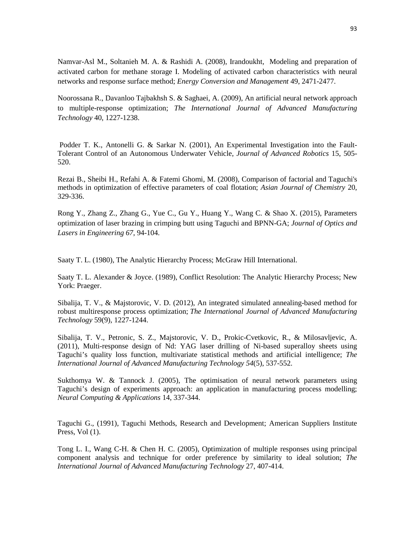Namvar-Asl M., Soltanieh M. A. & Rashidi A. (2008), Irandoukht, Modeling and preparation of activated carbon for methane storage I. Modeling of activated carbon characteristics with neural networks and response surface method; *Energy Conversion and Management* 49, 2471-2477.

Noorossana R., Davanloo Tajbakhsh S. & Saghaei, A. (2009), An artificial neural network approach to multiple-response optimization; *The International Journal of Advanced Manufacturing Technology* 40, 1227-1238.

Podder T. K., Antonelli G. & Sarkar N. (2001), An Experimental Investigation into the Fault-Tolerant Control of an Autonomous Underwater Vehicle, *Journal of Advanced Robotics* 15, 505- 520.

[Rezai](http://www.scopus.com/authid/detail.url?origin=resultslist&authorId=16301831200&zone=) B., [Sheibi](http://www.scopus.com/authid/detail.url?origin=resultslist&authorId=25230617400&zone=) H., [Refahi](http://www.scopus.com/authid/detail.url?origin=resultslist&authorId=25230806300&zone=) A. & [Fatemi Ghomi,](http://www.scopus.com/authid/detail.url?origin=resultslist&authorId=25229947300&zone=) M. (2008), [Comparison of factorial and Taguchi's](http://www.scopus.com/record/display.url?eid=2-s2.0-53949097406&origin=resultslist&sort=plf-f&src=s&st1=gasoline&st2=taguchi&sid=pwUsTp9fE9l9xgLiqyLVQnH%3a150&sot=b&sdt=b&sl=52&s=%28TITLE-ABS-KEY%28gasoline%29+AND+TITLE-ABS-KEY%28taguchi%29%29&relpos=2&relpos=2&searchTerm=(TITLE-ABS-KEY(gasoline)%20AND%20TITLE-ABS-KEY(taguchi)))  [methods in optimization of effective parameters of coal flotation;](http://www.scopus.com/record/display.url?eid=2-s2.0-53949097406&origin=resultslist&sort=plf-f&src=s&st1=gasoline&st2=taguchi&sid=pwUsTp9fE9l9xgLiqyLVQnH%3a150&sot=b&sdt=b&sl=52&s=%28TITLE-ABS-KEY%28gasoline%29+AND+TITLE-ABS-KEY%28taguchi%29%29&relpos=2&relpos=2&searchTerm=(TITLE-ABS-KEY(gasoline)%20AND%20TITLE-ABS-KEY(taguchi))) *[Asian Journal of Chemistry](http://www.scopus.com/source/sourceInfo.url?sourceId=22703&origin=resultslist)* 20, 329-336.

Rong Y., Zhang Z., Zhang G., Yue C., Gu Y., Huang Y., Wang C. & Shao X. (2015), Parameters optimization of laser brazing in crimping butt using Taguchi and BPNN-GA; *Journal of Optics and Lasers in Engineering 67*, 94-104.

Saaty T. L. (1980), The Analytic Hierarchy Process; McGraw Hill International.

Saaty T. L. Alexander & Joyce. (1989), Conflict Resolution: The Analytic Hierarchy Process; New York: Praeger.

Sibalija, T. V., & Majstorovic, V. D. (2012), An integrated simulated annealing-based method for robust multiresponse process optimization; *The International Journal of Advanced Manufacturing Technology* 59(9), 1227-1244.

Sibalija, T. V., Petronic, S. Z., Majstorovic, V. D., Prokic-Cvetkovic, R., & Milosavljevic, A. (2011), Multi-response design of Nd: YAG laser drilling of Ni-based superalloy sheets using Taguchi's quality loss function, multivariate statistical methods and artificial intelligence; *The International Journal of Advanced Manufacturing Technology 54*(5), 537-552.

Sukthomya W. & Tannock J. (2005), The optimisation of neural network parameters using Taguchi's design of experiments approach: an application in manufacturing process modelling; *Neural Computing & Applications* 14, 337-344.

Taguchi G., (1991), Taguchi Methods, Research and Development; American Suppliers Institute Press, Vol  $(1)$ .

Tong L. I., Wang C-H. & Chen H. C. (2005), Optimization of multiple responses using principal component analysis and technique for order preference by similarity to ideal solution; *The International Journal of Advanced Manufacturing Technology* 27, 407-414.